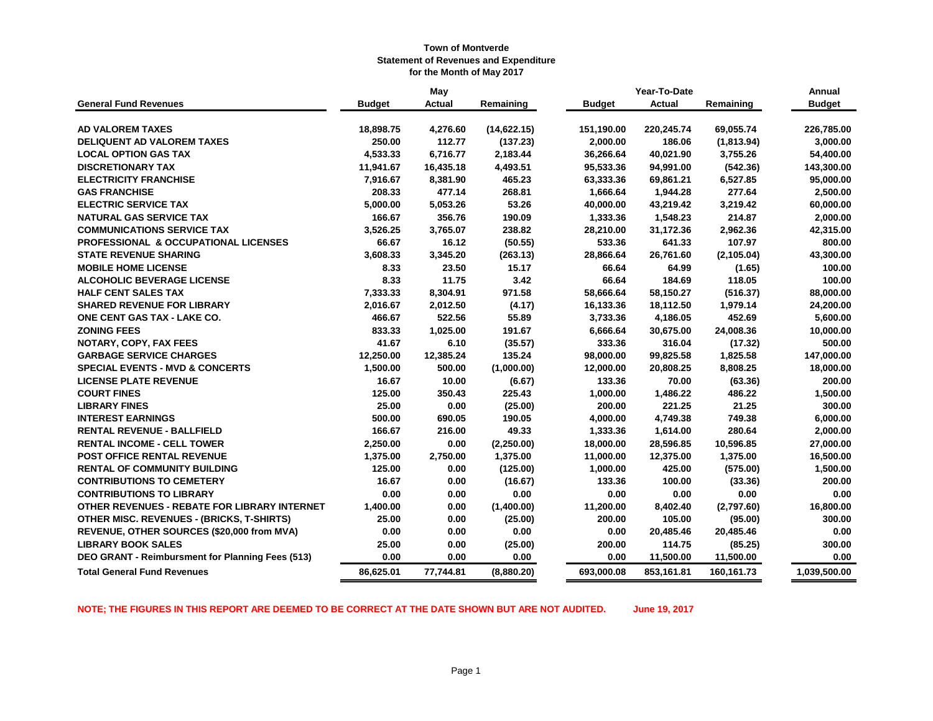|                                                  |               | May           |              |               | Year-To-Date  |             | Annual        |
|--------------------------------------------------|---------------|---------------|--------------|---------------|---------------|-------------|---------------|
| <b>General Fund Revenues</b>                     | <b>Budget</b> | <b>Actual</b> | Remaining    | <b>Budget</b> | <b>Actual</b> | Remaining   | <b>Budget</b> |
| <b>AD VALOREM TAXES</b>                          | 18,898.75     | 4,276.60      | (14, 622.15) | 151,190.00    | 220,245.74    | 69,055.74   | 226,785.00    |
| <b>DELIQUENT AD VALOREM TAXES</b>                | 250.00        | 112.77        | (137.23)     | 2,000.00      | 186.06        | (1,813.94)  | 3,000.00      |
| <b>LOCAL OPTION GAS TAX</b>                      | 4,533.33      | 6,716.77      | 2,183.44     | 36,266.64     | 40,021.90     | 3,755.26    | 54,400.00     |
| <b>DISCRETIONARY TAX</b>                         | 11,941.67     | 16,435.18     | 4,493.51     | 95,533.36     | 94,991.00     | (542.36)    | 143,300.00    |
| <b>ELECTRICITY FRANCHISE</b>                     | 7,916.67      | 8,381.90      | 465.23       | 63,333.36     | 69,861.21     | 6,527.85    | 95,000.00     |
| <b>GAS FRANCHISE</b>                             | 208.33        | 477.14        | 268.81       | 1,666.64      | 1,944.28      | 277.64      | 2,500.00      |
| <b>ELECTRIC SERVICE TAX</b>                      | 5,000.00      | 5,053.26      | 53.26        | 40,000.00     | 43,219.42     | 3,219.42    | 60,000.00     |
| <b>NATURAL GAS SERVICE TAX</b>                   | 166.67        | 356.76        | 190.09       | 1,333.36      | 1,548.23      | 214.87      | 2,000.00      |
| <b>COMMUNICATIONS SERVICE TAX</b>                | 3,526.25      | 3,765.07      | 238.82       | 28,210.00     | 31,172.36     | 2,962.36    | 42,315.00     |
| <b>PROFESSIONAL &amp; OCCUPATIONAL LICENSES</b>  | 66.67         | 16.12         | (50.55)      | 533.36        | 641.33        | 107.97      | 800.00        |
| <b>STATE REVENUE SHARING</b>                     | 3,608.33      | 3,345.20      | (263.13)     | 28,866.64     | 26,761.60     | (2, 105.04) | 43,300.00     |
| <b>MOBILE HOME LICENSE</b>                       | 8.33          | 23.50         | 15.17        | 66.64         | 64.99         | (1.65)      | 100.00        |
| <b>ALCOHOLIC BEVERAGE LICENSE</b>                | 8.33          | 11.75         | 3.42         | 66.64         | 184.69        | 118.05      | 100.00        |
| <b>HALF CENT SALES TAX</b>                       | 7,333.33      | 8,304.91      | 971.58       | 58,666.64     | 58,150.27     | (516.37)    | 88,000.00     |
| <b>SHARED REVENUE FOR LIBRARY</b>                | 2,016.67      | 2,012.50      | (4.17)       | 16,133.36     | 18,112.50     | 1,979.14    | 24,200.00     |
| ONE CENT GAS TAX - LAKE CO.                      | 466.67        | 522.56        | 55.89        | 3,733.36      | 4,186.05      | 452.69      | 5,600.00      |
| <b>ZONING FEES</b>                               | 833.33        | 1,025.00      | 191.67       | 6,666.64      | 30,675.00     | 24,008.36   | 10,000.00     |
| NOTARY, COPY, FAX FEES                           | 41.67         | 6.10          | (35.57)      | 333.36        | 316.04        | (17.32)     | 500.00        |
| <b>GARBAGE SERVICE CHARGES</b>                   | 12,250.00     | 12,385.24     | 135.24       | 98,000.00     | 99,825.58     | 1,825.58    | 147,000.00    |
| <b>SPECIAL EVENTS - MVD &amp; CONCERTS</b>       | 1,500.00      | 500.00        | (1,000.00)   | 12,000.00     | 20,808.25     | 8,808.25    | 18,000.00     |
| <b>LICENSE PLATE REVENUE</b>                     | 16.67         | 10.00         | (6.67)       | 133.36        | 70.00         | (63.36)     | 200.00        |
| <b>COURT FINES</b>                               | 125.00        | 350.43        | 225.43       | 1,000.00      | 1,486.22      | 486.22      | 1,500.00      |
| <b>LIBRARY FINES</b>                             | 25.00         | 0.00          | (25.00)      | 200.00        | 221.25        | 21.25       | 300.00        |
| <b>INTEREST EARNINGS</b>                         | 500.00        | 690.05        | 190.05       | 4,000.00      | 4,749.38      | 749.38      | 6,000.00      |
| <b>RENTAL REVENUE - BALLFIELD</b>                | 166.67        | 216.00        | 49.33        | 1,333.36      | 1,614.00      | 280.64      | 2,000.00      |
| <b>RENTAL INCOME - CELL TOWER</b>                | 2,250.00      | 0.00          | (2,250.00)   | 18,000.00     | 28,596.85     | 10,596.85   | 27,000.00     |
| POST OFFICE RENTAL REVENUE                       | 1,375.00      | 2,750.00      | 1,375.00     | 11,000.00     | 12,375.00     | 1,375.00    | 16,500.00     |
| <b>RENTAL OF COMMUNITY BUILDING</b>              | 125.00        | 0.00          | (125.00)     | 1,000.00      | 425.00        | (575.00)    | 1,500.00      |
| <b>CONTRIBUTIONS TO CEMETERY</b>                 | 16.67         | 0.00          | (16.67)      | 133.36        | 100.00        | (33.36)     | 200.00        |
| <b>CONTRIBUTIONS TO LIBRARY</b>                  | 0.00          | 0.00          | 0.00         | 0.00          | 0.00          | 0.00        | 0.00          |
| OTHER REVENUES - REBATE FOR LIBRARY INTERNET     | 1,400.00      | 0.00          | (1,400.00)   | 11,200.00     | 8,402.40      | (2,797.60)  | 16,800.00     |
| <b>OTHER MISC. REVENUES - (BRICKS, T-SHIRTS)</b> | 25.00         | 0.00          | (25.00)      | 200.00        | 105.00        | (95.00)     | 300.00        |
| REVENUE, OTHER SOURCES (\$20,000 from MVA)       | 0.00          | 0.00          | 0.00         | 0.00          | 20,485.46     | 20,485.46   | 0.00          |
| <b>LIBRARY BOOK SALES</b>                        | 25.00         | 0.00          | (25.00)      | 200.00        | 114.75        | (85.25)     | 300.00        |
| DEO GRANT - Reimbursment for Planning Fees (513) | 0.00          | 0.00          | 0.00         | 0.00          | 11,500.00     | 11,500.00   | 0.00          |
| <b>Total General Fund Revenues</b>               | 86,625.01     | 77,744.81     | (8,880.20)   | 693,000.08    | 853,161.81    | 160,161.73  | 1,039,500.00  |

**NOTE; THE FIGURES IN THIS REPORT ARE DEEMED TO BE CORRECT AT THE DATE SHOWN BUT ARE NOT AUDITED. June 19, 2017**

Page 1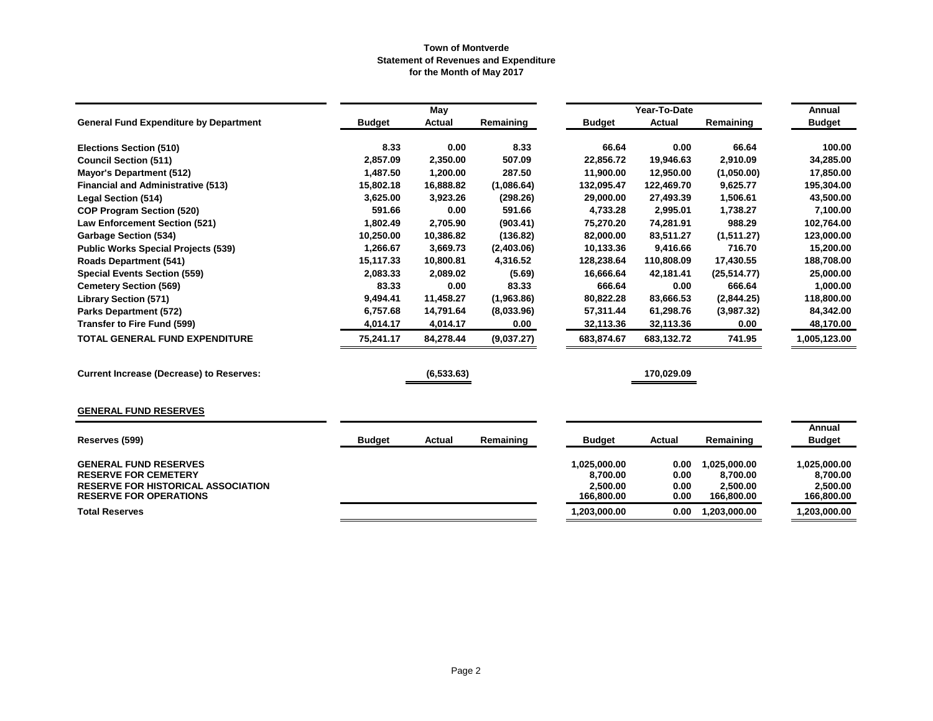|                                                                                                                                           |               | May        |            |                                                    | Year-To-Date                 |                                                    | Annual                                             |
|-------------------------------------------------------------------------------------------------------------------------------------------|---------------|------------|------------|----------------------------------------------------|------------------------------|----------------------------------------------------|----------------------------------------------------|
| <b>General Fund Expenditure by Department</b>                                                                                             | <b>Budget</b> | Actual     | Remaining  | <b>Budget</b>                                      | <b>Actual</b>                | Remaining                                          | <b>Budget</b>                                      |
| <b>Elections Section (510)</b>                                                                                                            | 8.33          | 0.00       | 8.33       | 66.64                                              | 0.00                         | 66.64                                              | 100.00                                             |
| <b>Council Section (511)</b>                                                                                                              | 2,857.09      | 2,350.00   | 507.09     | 22,856.72                                          | 19,946.63                    | 2,910.09                                           | 34,285.00                                          |
| <b>Mayor's Department (512)</b>                                                                                                           | 1,487.50      | 1,200.00   | 287.50     | 11,900.00                                          | 12,950.00                    | (1,050.00)                                         | 17,850.00                                          |
| <b>Financial and Administrative (513)</b>                                                                                                 | 15,802.18     | 16,888.82  | (1,086.64) | 132,095.47                                         | 122,469.70                   | 9,625.77                                           | 195,304.00                                         |
| <b>Legal Section (514)</b>                                                                                                                | 3,625.00      | 3,923.26   | (298.26)   | 29,000.00                                          | 27,493.39                    | 1,506.61                                           | 43,500.00                                          |
| <b>COP Program Section (520)</b>                                                                                                          | 591.66        | 0.00       | 591.66     | 4,733.28                                           | 2,995.01                     | 1,738.27                                           | 7,100.00                                           |
| <b>Law Enforcement Section (521)</b>                                                                                                      | 1,802.49      | 2,705.90   | (903.41)   | 75,270.20                                          | 74,281.91                    | 988.29                                             | 102,764.00                                         |
| <b>Garbage Section (534)</b>                                                                                                              | 10,250.00     | 10,386.82  | (136.82)   | 82,000.00                                          | 83,511.27                    | (1,511.27)                                         | 123,000.00                                         |
| <b>Public Works Special Projects (539)</b>                                                                                                | 1,266.67      | 3,669.73   | (2,403.06) | 10,133.36                                          | 9,416.66                     | 716.70                                             | 15,200.00                                          |
| <b>Roads Department (541)</b>                                                                                                             | 15,117.33     | 10,800.81  | 4,316.52   | 128,238.64                                         | 110,808.09                   | 17,430.55                                          | 188,708.00                                         |
| <b>Special Events Section (559)</b>                                                                                                       | 2,083.33      | 2,089.02   | (5.69)     | 16,666.64                                          | 42,181.41                    | (25, 514.77)                                       | 25,000.00                                          |
| <b>Cemetery Section (569)</b>                                                                                                             | 83.33         | 0.00       | 83.33      | 666.64                                             | 0.00                         | 666.64                                             | 1,000.00                                           |
| <b>Library Section (571)</b>                                                                                                              | 9,494.41      | 11,458.27  | (1,963.86) | 80,822.28                                          | 83,666.53                    | (2,844.25)                                         | 118,800.00                                         |
| <b>Parks Department (572)</b>                                                                                                             | 6,757.68      | 14,791.64  | (8,033.96) | 57,311.44                                          | 61,298.76                    | (3,987.32)                                         | 84,342.00                                          |
| <b>Transfer to Fire Fund (599)</b>                                                                                                        | 4,014.17      | 4,014.17   | 0.00       | 32,113.36                                          | 32,113.36                    | 0.00                                               | 48,170.00                                          |
| <b>TOTAL GENERAL FUND EXPENDITURE</b>                                                                                                     | 75,241.17     | 84,278.44  | (9,037.27) | 683,874.67                                         | 683,132.72                   | 741.95                                             | 1,005,123.00                                       |
| <b>Current Increase (Decrease) to Reserves:</b>                                                                                           |               | (6,533.63) |            |                                                    | 170,029.09                   |                                                    |                                                    |
| <b>GENERAL FUND RESERVES</b>                                                                                                              |               |            |            |                                                    |                              |                                                    |                                                    |
|                                                                                                                                           |               |            |            |                                                    |                              |                                                    | Annual                                             |
| Reserves (599)                                                                                                                            | <b>Budget</b> | Actual     | Remaining  | <b>Budget</b>                                      | Actual                       | Remaining                                          | <b>Budget</b>                                      |
| <b>GENERAL FUND RESERVES</b><br><b>RESERVE FOR CEMETERY</b><br><b>RESERVE FOR HISTORICAL ASSOCIATION</b><br><b>RESERVE FOR OPERATIONS</b> |               |            |            | 1,025,000.00<br>8,700.00<br>2,500.00<br>166,800.00 | 0.00<br>0.00<br>0.00<br>0.00 | 1,025,000.00<br>8,700.00<br>2,500.00<br>166,800.00 | 1,025,000.00<br>8,700.00<br>2,500.00<br>166,800.00 |
| <b>Total Reserves</b>                                                                                                                     |               |            |            | 1,203,000.00                                       | 0.00                         | 1,203,000.00                                       | 1,203,000.00                                       |
|                                                                                                                                           |               |            |            |                                                    |                              |                                                    |                                                    |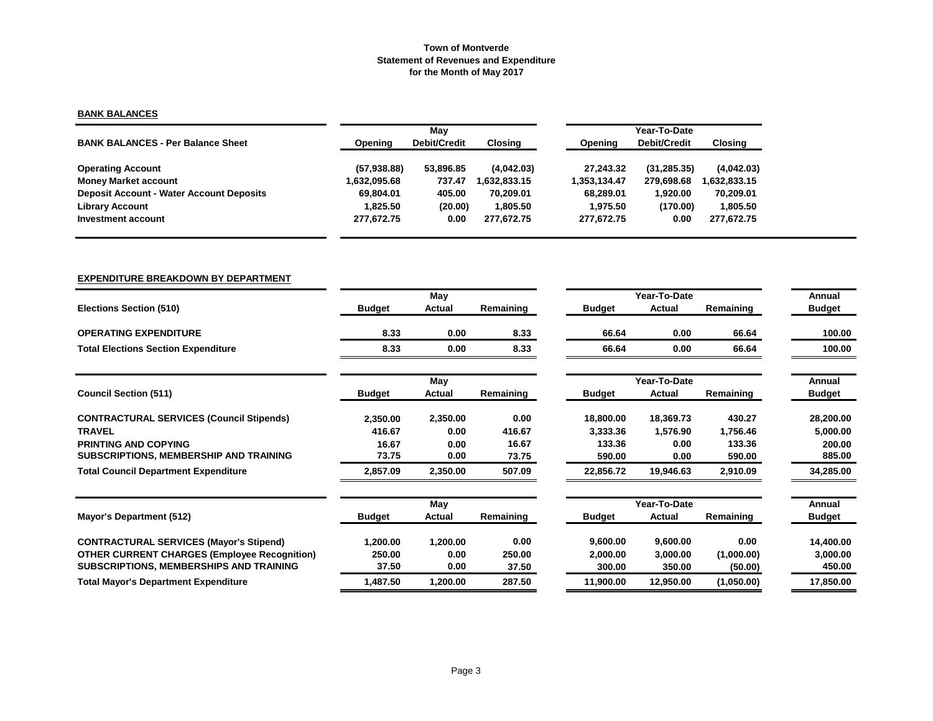# **BANK BALANCES**

|                                                 |              | Mav                 |             |              | Year-To-Date |             |  |  |  |
|-------------------------------------------------|--------------|---------------------|-------------|--------------|--------------|-------------|--|--|--|
| <b>BANK BALANCES - Per Balance Sheet</b>        | Opening      | <b>Debit/Credit</b> | Closing     | Opening      | Debit/Credit | Closing     |  |  |  |
| <b>Operating Account</b>                        | (57, 938.88) | 53,896.85           | (4,042.03)  | 27.243.32    | (31, 285.35) | (4,042.03)  |  |  |  |
| <b>Money Market account</b>                     | 1,632,095.68 | 737.47              | .632.833.15 | 1.353.134.47 | 279,698.68   | .632,833.15 |  |  |  |
| <b>Deposit Account - Water Account Deposits</b> | 69.804.01    | 405.00              | 70.209.01   | 68.289.01    | 1.920.00     | 70,209.01   |  |  |  |
| <b>Library Account</b>                          | 1.825.50     | (20.00)             | 1.805.50    | 1.975.50     | (170.00)     | 1,805.50    |  |  |  |
| Investment account                              | 277.672.75   | 0.00                | 277.672.75  | 277,672.75   | 0.00         | 277,672.75  |  |  |  |

# **EXPENDITURE BREAKDOWN BY DEPARTMENT**

|                                                     |               | May      |           |               | Year-To-Date |            | Annual        |
|-----------------------------------------------------|---------------|----------|-----------|---------------|--------------|------------|---------------|
| <b>Elections Section (510)</b>                      | <b>Budget</b> | Actual   | Remaining | <b>Budget</b> | Actual       | Remaining  | <b>Budget</b> |
| <b>OPERATING EXPENDITURE</b>                        | 8.33          | 0.00     | 8.33      | 66.64         | 0.00         | 66.64      | 100.00        |
| <b>Total Elections Section Expenditure</b>          | 8.33          | 0.00     | 8.33      | 66.64         | 0.00         | 66.64      | 100.00        |
|                                                     |               | May      |           |               | Year-To-Date |            | Annual        |
| <b>Council Section (511)</b>                        | <b>Budget</b> | Actual   | Remaining | <b>Budget</b> | Actual       | Remaining  | <b>Budget</b> |
| <b>CONTRACTURAL SERVICES (Council Stipends)</b>     | 2,350.00      | 2,350.00 | 0.00      | 18,800.00     | 18,369.73    | 430.27     | 28,200.00     |
| <b>TRAVEL</b>                                       | 416.67        | 0.00     | 416.67    | 3,333.36      | 1,576.90     | 1,756.46   | 5,000.00      |
| <b>PRINTING AND COPYING</b>                         | 16.67         | 0.00     | 16.67     | 133.36        | 0.00         | 133.36     | 200.00        |
| SUBSCRIPTIONS, MEMBERSHIP AND TRAINING              | 73.75         | 0.00     | 73.75     | 590.00        | 0.00         | 590.00     | 885.00        |
| <b>Total Council Department Expenditure</b>         | 2,857.09      | 2,350.00 | 507.09    | 22,856.72     | 19,946.63    | 2,910.09   | 34,285.00     |
|                                                     |               | May      |           |               | Year-To-Date |            | Annual        |
| <b>Mayor's Department (512)</b>                     | <b>Budget</b> | Actual   | Remaining | <b>Budget</b> | Actual       | Remaining  | <b>Budget</b> |
| <b>CONTRACTURAL SERVICES (Mayor's Stipend)</b>      | 1,200.00      | 1,200.00 | 0.00      | 9,600.00      | 9,600.00     | 0.00       | 14,400.00     |
| <b>OTHER CURRENT CHARGES (Employee Recognition)</b> | 250.00        | 0.00     | 250.00    | 2,000.00      | 3,000.00     | (1,000.00) | 3,000.00      |
| SUBSCRIPTIONS, MEMBERSHIPS AND TRAINING             | 37.50         | 0.00     | 37.50     | 300.00        | 350.00       | (50.00)    | 450.00        |
| <b>Total Mayor's Department Expenditure</b>         | 1,487.50      | 1,200.00 | 287.50    | 11,900.00     | 12,950.00    | (1,050.00) | 17,850.00     |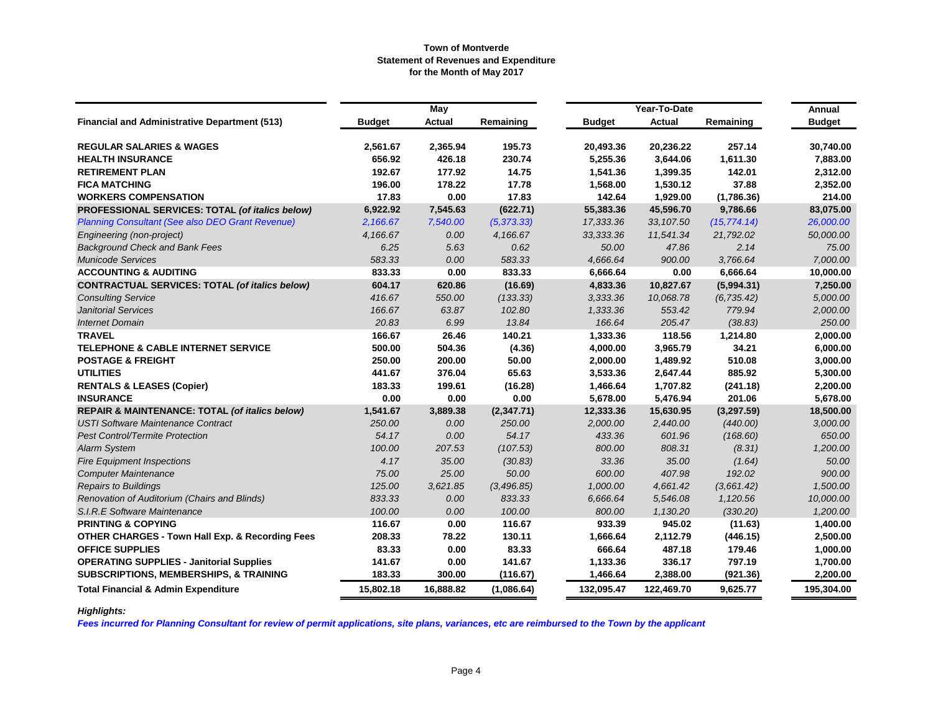|                                                            |               | May       |             |            | Year-To-Date |              | Annual        |
|------------------------------------------------------------|---------------|-----------|-------------|------------|--------------|--------------|---------------|
| <b>Financial and Administrative Department (513)</b>       | <b>Budget</b> | Actual    | Remaining   | Budget     | Actual       | Remaining    | <b>Budget</b> |
| <b>REGULAR SALARIES &amp; WAGES</b>                        | 2,561.67      | 2,365.94  | 195.73      | 20,493.36  | 20,236.22    | 257.14       | 30,740.00     |
| <b>HEALTH INSURANCE</b>                                    | 656.92        | 426.18    | 230.74      | 5,255.36   | 3,644.06     | 1,611.30     | 7,883.00      |
| <b>RETIREMENT PLAN</b>                                     | 192.67        | 177.92    | 14.75       | 1,541.36   | 1,399.35     | 142.01       | 2,312.00      |
| <b>FICA MATCHING</b>                                       | 196.00        | 178.22    | 17.78       | 1,568.00   | 1,530.12     | 37.88        | 2,352.00      |
| <b>WORKERS COMPENSATION</b>                                | 17.83         | 0.00      | 17.83       | 142.64     | 1,929.00     | (1,786.36)   | 214.00        |
| PROFESSIONAL SERVICES: TOTAL (of italics below)            | 6,922.92      | 7,545.63  | (622.71)    | 55,383.36  | 45,596.70    | 9,786.66     | 83,075.00     |
| <b>Planning Consultant (See also DEO Grant Revenue)</b>    | 2,166.67      | 7,540.00  | (5, 373.33) | 17,333.36  | 33, 107.50   | (15, 774.14) | 26,000.00     |
| Engineering (non-project)                                  | 4,166.67      | 0.00      | 4,166.67    | 33,333.36  | 11,541.34    | 21,792.02    | 50,000.00     |
| <b>Background Check and Bank Fees</b>                      | 6.25          | 5.63      | 0.62        | 50.00      | 47.86        | 2.14         | 75.00         |
| <b>Municode Services</b>                                   | 583.33        | 0.00      | 583.33      | 4,666.64   | 900.00       | 3,766.64     | 7,000.00      |
| <b>ACCOUNTING &amp; AUDITING</b>                           | 833.33        | 0.00      | 833.33      | 6,666.64   | 0.00         | 6,666.64     | 10,000.00     |
| <b>CONTRACTUAL SERVICES: TOTAL (of italics below)</b>      | 604.17        | 620.86    | (16.69)     | 4,833.36   | 10,827.67    | (5,994.31)   | 7,250.00      |
| <b>Consulting Service</b>                                  | 416.67        | 550.00    | (133.33)    | 3,333.36   | 10,068.78    | (6, 735.42)  | 5,000.00      |
| <b>Janitorial Services</b>                                 | 166.67        | 63.87     | 102.80      | 1,333.36   | 553.42       | 779.94       | 2,000.00      |
| <b>Internet Domain</b>                                     | 20.83         | 6.99      | 13.84       | 166.64     | 205.47       | (38.83)      | 250.00        |
| <b>TRAVEL</b>                                              | 166.67        | 26.46     | 140.21      | 1,333.36   | 118.56       | 1,214.80     | 2,000.00      |
| <b>TELEPHONE &amp; CABLE INTERNET SERVICE</b>              | 500.00        | 504.36    | (4.36)      | 4,000.00   | 3,965.79     | 34.21        | 6,000.00      |
| <b>POSTAGE &amp; FREIGHT</b>                               | 250.00        | 200.00    | 50.00       | 2,000.00   | 1,489.92     | 510.08       | 3,000.00      |
| <b>UTILITIES</b>                                           | 441.67        | 376.04    | 65.63       | 3,533.36   | 2,647.44     | 885.92       | 5,300.00      |
| <b>RENTALS &amp; LEASES (Copier)</b>                       | 183.33        | 199.61    | (16.28)     | 1,466.64   | 1,707.82     | (241.18)     | 2,200.00      |
| <b>INSURANCE</b>                                           | 0.00          | 0.00      | 0.00        | 5,678.00   | 5,476.94     | 201.06       | 5,678.00      |
| <b>REPAIR &amp; MAINTENANCE: TOTAL (of italics below)</b>  | 1,541.67      | 3,889.38  | (2,347.71)  | 12,333.36  | 15,630.95    | (3,297.59)   | 18,500.00     |
| <b>USTI Software Maintenance Contract</b>                  | 250.00        | 0.00      | 250.00      | 2,000.00   | 2,440.00     | (440.00)     | 3,000.00      |
| <b>Pest Control/Termite Protection</b>                     | 54.17         | 0.00      | 54.17       | 433.36     | 601.96       | (168.60)     | 650.00        |
| <b>Alarm System</b>                                        | 100.00        | 207.53    | (107.53)    | 800.00     | 808.31       | (8.31)       | 1,200.00      |
| <b>Fire Equipment Inspections</b>                          | 4.17          | 35.00     | (30.83)     | 33.36      | 35.00        | (1.64)       | 50.00         |
| <b>Computer Maintenance</b>                                | 75.00         | 25.00     | 50.00       | 600.00     | 407.98       | 192.02       | 900.00        |
| <b>Repairs to Buildings</b>                                | 125.00        | 3,621.85  | (3, 496.85) | 1,000.00   | 4,661.42     | (3,661.42)   | 1,500.00      |
| Renovation of Auditorium (Chairs and Blinds)               | 833.33        | 0.00      | 833.33      | 6,666.64   | 5,546.08     | 1,120.56     | 10,000.00     |
| S.I.R.E Software Maintenance                               | 100.00        | 0.00      | 100.00      | 800.00     | 1,130.20     | (330.20)     | 1,200.00      |
| <b>PRINTING &amp; COPYING</b>                              | 116.67        | 0.00      | 116.67      | 933.39     | 945.02       | (11.63)      | 1,400.00      |
| <b>OTHER CHARGES - Town Hall Exp. &amp; Recording Fees</b> | 208.33        | 78.22     | 130.11      | 1,666.64   | 2,112.79     | (446.15)     | 2,500.00      |
| <b>OFFICE SUPPLIES</b>                                     | 83.33         | 0.00      | 83.33       | 666.64     | 487.18       | 179.46       | 1,000.00      |
| <b>OPERATING SUPPLIES - Janitorial Supplies</b>            | 141.67        | 0.00      | 141.67      | 1,133.36   | 336.17       | 797.19       | 1,700.00      |
| <b>SUBSCRIPTIONS, MEMBERSHIPS, &amp; TRAINING</b>          | 183.33        | 300.00    | (116.67)    | 1,466.64   | 2,388.00     | (921.36)     | 2,200.00      |
| <b>Total Financial &amp; Admin Expenditure</b>             | 15,802.18     | 16,888.82 | (1,086.64)  | 132,095.47 | 122,469.70   | 9,625.77     | 195,304.00    |

# *Highlights:*

*Fees incurred for Planning Consultant for review of permit applications, site plans, variances, etc are reimbursed to the Town by the applicant*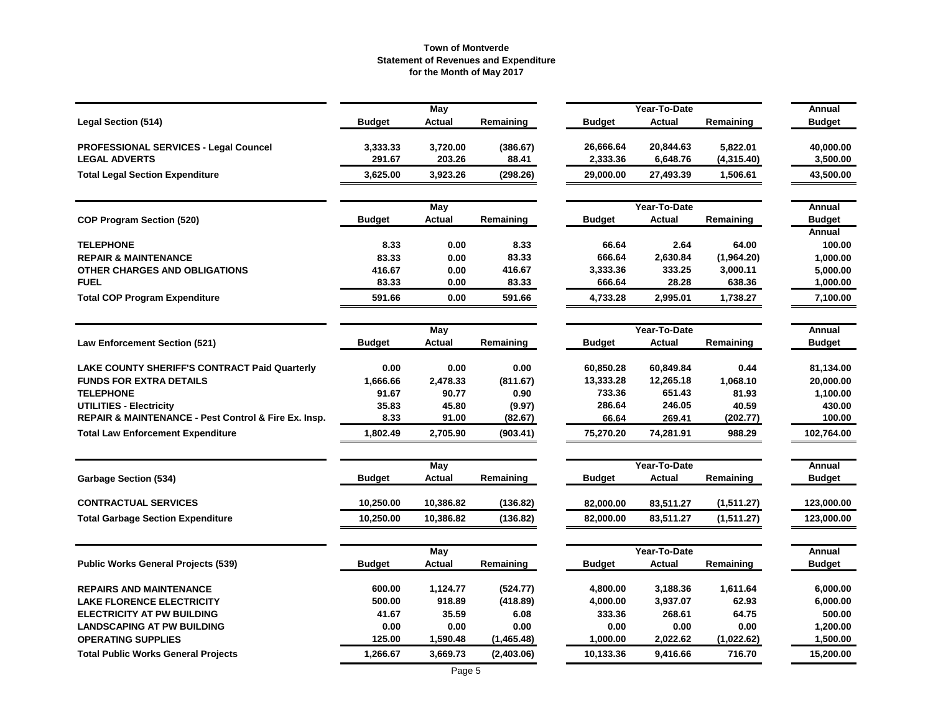|                                                      |               | <b>May</b>    |            |               | Year-To-Date  |            | Annual        |
|------------------------------------------------------|---------------|---------------|------------|---------------|---------------|------------|---------------|
| <b>Legal Section (514)</b>                           | <b>Budget</b> | <b>Actual</b> | Remaining  | Budget        | <b>Actual</b> | Remaining  | <b>Budget</b> |
| <b>PROFESSIONAL SERVICES - Legal Councel</b>         | 3,333.33      | 3,720.00      | (386.67)   | 26,666.64     | 20,844.63     | 5,822.01   | 40,000.00     |
| <b>LEGAL ADVERTS</b>                                 | 291.67        | 203.26        | 88.41      | 2,333.36      | 6,648.76      | (4,315.40) | 3,500.00      |
| <b>Total Legal Section Expenditure</b>               | 3,625.00      | 3,923.26      | (298.26)   | 29,000.00     | 27,493.39     | 1,506.61   | 43,500.00     |
|                                                      |               | May           |            |               | Year-To-Date  |            | Annual        |
| <b>COP Program Section (520)</b>                     | <b>Budget</b> | <b>Actual</b> | Remaining  | <b>Budget</b> | <b>Actual</b> | Remaining  | <b>Budget</b> |
|                                                      |               |               |            |               |               |            | Annual        |
| <b>TELEPHONE</b>                                     | 8.33          | 0.00          | 8.33       | 66.64         | 2.64          | 64.00      | 100.00        |
| <b>REPAIR &amp; MAINTENANCE</b>                      | 83.33         | 0.00          | 83.33      | 666.64        | 2,630.84      | (1,964.20) | 1,000.00      |
| OTHER CHARGES AND OBLIGATIONS                        | 416.67        | 0.00          | 416.67     | 3,333.36      | 333.25        | 3,000.11   | 5,000.00      |
| <b>FUEL</b>                                          | 83.33         | 0.00          | 83.33      | 666.64        | 28.28         | 638.36     | 1,000.00      |
| <b>Total COP Program Expenditure</b>                 | 591.66        | 0.00          | 591.66     | 4,733.28      | 2,995.01      | 1,738.27   | 7,100.00      |
|                                                      |               | May           |            |               | Year-To-Date  |            | Annual        |
| <b>Law Enforcement Section (521)</b>                 | <b>Budget</b> | Actual        | Remaining  | <b>Budget</b> | <b>Actual</b> | Remaining  | <b>Budget</b> |
| <b>LAKE COUNTY SHERIFF'S CONTRACT Paid Quarterly</b> | 0.00          | 0.00          | 0.00       | 60,850.28     | 60,849.84     | 0.44       | 81,134.00     |
| <b>FUNDS FOR EXTRA DETAILS</b>                       | 1,666.66      | 2,478.33      | (811.67)   | 13,333.28     | 12,265.18     | 1,068.10   | 20,000.00     |
| <b>TELEPHONE</b>                                     | 91.67         | 90.77         | 0.90       | 733.36        | 651.43        | 81.93      | 1,100.00      |
| <b>UTILITIES - Electricity</b>                       | 35.83         | 45.80         | (9.97)     | 286.64        | 246.05        | 40.59      | 430.00        |
| REPAIR & MAINTENANCE - Pest Control & Fire Ex. Insp. | 8.33          | 91.00         | (82.67)    | 66.64         | 269.41        | (202.77)   | 100.00        |
| <b>Total Law Enforcement Expenditure</b>             | 1,802.49      | 2,705.90      | (903.41)   | 75,270.20     | 74,281.91     | 988.29     | 102,764.00    |
|                                                      |               | May           |            |               | Year-To-Date  |            | Annual        |
| <b>Garbage Section (534)</b>                         | Budget        | <b>Actual</b> | Remaining  | <b>Budget</b> | Actual        | Remaining  | <b>Budget</b> |
| <b>CONTRACTUAL SERVICES</b>                          | 10,250.00     | 10,386.82     | (136.82)   | 82,000.00     | 83,511.27     | (1,511.27) | 123,000.00    |
| <b>Total Garbage Section Expenditure</b>             | 10,250.00     | 10,386.82     | (136.82)   | 82,000.00     | 83,511.27     | (1,511.27) | 123,000.00    |
|                                                      |               | May           |            |               | Year-To-Date  |            | Annual        |
| <b>Public Works General Projects (539)</b>           | Budget        | Actual        | Remaining  | <b>Budget</b> | Actual        | Remaining  | <b>Budget</b> |
| <b>REPAIRS AND MAINTENANCE</b>                       | 600.00        | 1,124.77      | (524.77)   | 4,800.00      | 3,188.36      | 1,611.64   | 6,000.00      |
| <b>LAKE FLORENCE ELECTRICITY</b>                     | 500.00        | 918.89        | (418.89)   | 4,000.00      | 3,937.07      | 62.93      | 6,000.00      |
| <b>ELECTRICITY AT PW BUILDING</b>                    | 41.67         | 35.59         | 6.08       | 333.36        | 268.61        | 64.75      | 500.00        |
| <b>LANDSCAPING AT PW BUILDING</b>                    | 0.00          | 0.00          | 0.00       | 0.00          | 0.00          | 0.00       | 1,200.00      |
| <b>OPERATING SUPPLIES</b>                            | 125.00        | 1,590.48      | (1,465.48) | 1,000.00      | 2,022.62      | (1,022.62) | 1,500.00      |
| <b>Total Public Works General Projects</b>           | 1,266.67      | 3,669.73      | (2,403.06) | 10,133.36     | 9,416.66      | 716.70     | 15,200.00     |
|                                                      |               |               |            |               |               |            |               |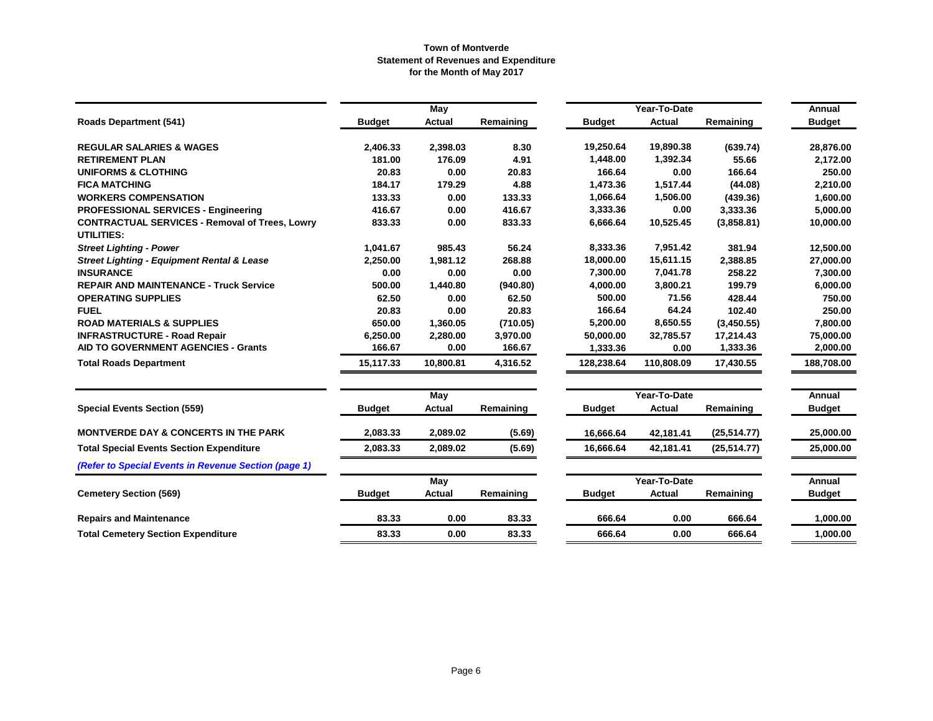|                                                                            |                    | May              |                    |               | Year-To-Date  |              | Annual                |
|----------------------------------------------------------------------------|--------------------|------------------|--------------------|---------------|---------------|--------------|-----------------------|
| <b>Roads Department (541)</b>                                              | <b>Budget</b>      | Actual           | Remaining          | <b>Budget</b> | Actual        | Remaining    | <b>Budget</b>         |
| <b>REGULAR SALARIES &amp; WAGES</b>                                        | 2,406.33           | 2,398.03         | 8.30               | 19,250.64     | 19,890.38     | (639.74)     | 28,876.00             |
| <b>RETIREMENT PLAN</b>                                                     | 181.00             | 176.09           | 4.91               | 1,448.00      | 1,392.34      | 55.66        | 2,172.00              |
| <b>UNIFORMS &amp; CLOTHING</b>                                             | 20.83              | 0.00             | 20.83              | 166.64        | 0.00          | 166.64       | 250.00                |
| <b>FICA MATCHING</b>                                                       | 184.17             | 179.29           | 4.88               | 1,473.36      | 1,517.44      | (44.08)      | 2,210.00              |
| <b>WORKERS COMPENSATION</b>                                                | 133.33             | 0.00             | 133.33             | 1,066.64      | 1,506.00      | (439.36)     | 1,600.00              |
| <b>PROFESSIONAL SERVICES - Engineering</b>                                 | 416.67             | 0.00             | 416.67             | 3,333.36      | 0.00          | 3,333.36     | 5,000.00              |
| <b>CONTRACTUAL SERVICES - Removal of Trees, Lowry</b>                      | 833.33             | 0.00             | 833.33             | 6,666.64      | 10,525.45     | (3,858.81)   | 10,000.00             |
| <b>UTILITIES:</b>                                                          |                    |                  |                    |               |               |              |                       |
| <b>Street Lighting - Power</b>                                             | 1,041.67           | 985.43           | 56.24              | 8,333.36      | 7,951.42      | 381.94       | 12,500.00             |
| <b>Street Lighting - Equipment Rental &amp; Lease</b>                      | 2,250.00           | 1,981.12         | 268.88             | 18,000.00     | 15,611.15     | 2,388.85     | 27,000.00             |
| <b>INSURANCE</b>                                                           | 0.00               | 0.00             | 0.00               | 7,300.00      | 7,041.78      | 258.22       | 7,300.00              |
| <b>REPAIR AND MAINTENANCE - Truck Service</b>                              | 500.00             | 1,440.80         | (940.80)           | 4,000.00      | 3,800.21      | 199.79       | 6,000.00              |
| <b>OPERATING SUPPLIES</b>                                                  | 62.50              | 0.00             | 62.50              | 500.00        | 71.56         | 428.44       | 750.00                |
| <b>FUEL</b>                                                                | 20.83              | 0.00             | 20.83              | 166.64        | 64.24         | 102.40       | 250.00                |
| <b>ROAD MATERIALS &amp; SUPPLIES</b>                                       | 650.00             | 1,360.05         | (710.05)           | 5,200.00      | 8,650.55      | (3,450.55)   | 7,800.00              |
| <b>INFRASTRUCTURE - Road Repair</b><br>AID TO GOVERNMENT AGENCIES - Grants | 6,250.00<br>166.67 | 2,280.00<br>0.00 | 3,970.00<br>166.67 | 50,000.00     | 32,785.57     | 17,214.43    | 75,000.00<br>2,000.00 |
|                                                                            |                    |                  |                    | 1,333.36      | 0.00          | 1,333.36     |                       |
| <b>Total Roads Department</b>                                              | 15,117.33          | 10,800.81        | 4,316.52           | 128,238.64    | 110,808.09    | 17,430.55    | 188,708.00            |
|                                                                            |                    | May              |                    |               | Year-To-Date  |              | <b>Annual</b>         |
| <b>Special Events Section (559)</b>                                        | <b>Budget</b>      | Actual           | Remaining          | <b>Budget</b> | <b>Actual</b> | Remaining    | <b>Budget</b>         |
| <b>MONTVERDE DAY &amp; CONCERTS IN THE PARK</b>                            | 2,083.33           | 2,089.02         | (5.69)             | 16,666.64     | 42,181.41     | (25, 514.77) | 25.000.00             |
| <b>Total Special Events Section Expenditure</b>                            | 2,083.33           | 2,089.02         | (5.69)             | 16,666.64     | 42,181.41     | (25, 514.77) | 25,000.00             |
| (Refer to Special Events in Revenue Section (page 1)                       |                    |                  |                    |               |               |              |                       |
|                                                                            |                    | May              |                    |               | Year-To-Date  |              | Annual                |
| <b>Cemetery Section (569)</b>                                              | <b>Budget</b>      | <b>Actual</b>    | Remaining          | <b>Budget</b> | <b>Actual</b> | Remaining    | <b>Budget</b>         |
| <b>Repairs and Maintenance</b>                                             | 83.33              | 0.00             | 83.33              | 666.64        | 0.00          | 666.64       | 1,000.00              |
| <b>Total Cemetery Section Expenditure</b>                                  | 83.33              | 0.00             | 83.33              | 666.64        | 0.00          | 666.64       | 1,000.00              |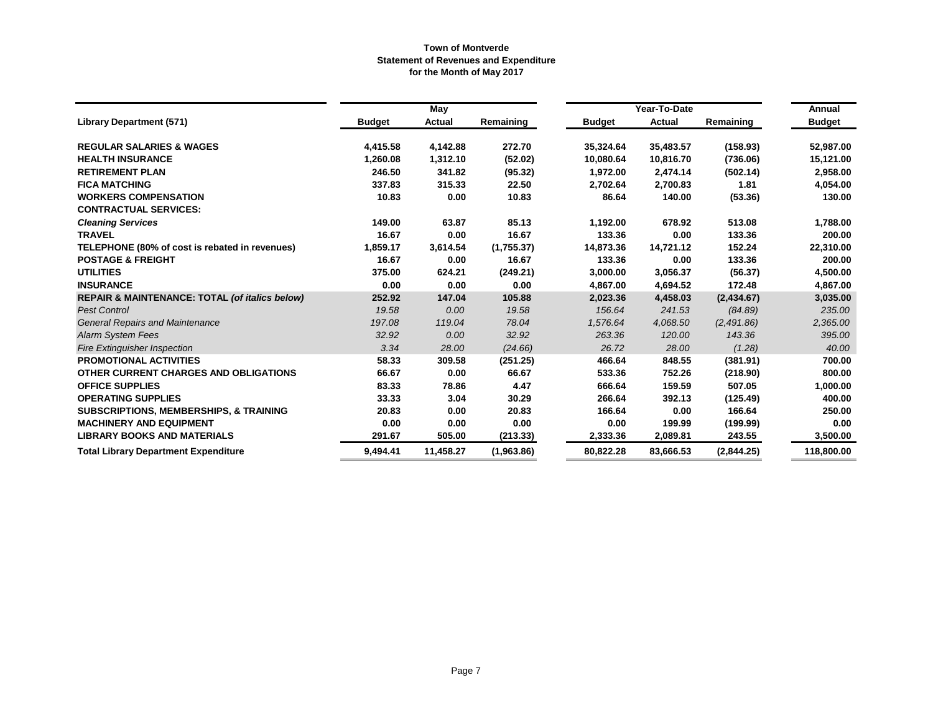|                                                           |               | May       |            |               | Year-To-Date   |            |                         |  |
|-----------------------------------------------------------|---------------|-----------|------------|---------------|----------------|------------|-------------------------|--|
| <b>Library Department (571)</b>                           | <b>Budget</b> | Actual    | Remaining  | <b>Budget</b> | Actual         | Remaining  | Annual<br><b>Budget</b> |  |
| <b>REGULAR SALARIES &amp; WAGES</b>                       | 4,415.58      | 4,142.88  | 272.70     | 35,324.64     | 35,483.57      | (158.93)   | 52,987.00               |  |
| <b>HEALTH INSURANCE</b>                                   | 1,260.08      | 1,312.10  | (52.02)    | 10,080.64     | 10,816.70      | (736.06)   | 15,121.00               |  |
| <b>RETIREMENT PLAN</b>                                    | 246.50        | 341.82    | (95.32)    | 1,972.00      | 2,474.14       | (502.14)   | 2,958.00                |  |
| <b>FICA MATCHING</b>                                      | 337.83        | 315.33    | 22.50      | 2,702.64      | 2,700.83       | 1.81       | 4,054.00                |  |
| <b>WORKERS COMPENSATION</b>                               | 10.83         | 0.00      | 10.83      | 86.64         | 140.00         | (53.36)    | 130.00                  |  |
| <b>CONTRACTUAL SERVICES:</b>                              |               |           |            |               |                |            |                         |  |
| <b>Cleaning Services</b>                                  | 149.00        | 63.87     | 85.13      | 1,192.00      | 678.92         | 513.08     | 1,788.00                |  |
| <b>TRAVEL</b>                                             | 16.67         | 0.00      | 16.67      | 133.36        | 0.00           | 133.36     | 200.00                  |  |
| TELEPHONE (80% of cost is rebated in revenues)            | 1,859.17      | 3,614.54  | (1,755.37) | 14,873.36     | 14,721.12      | 152.24     | 22,310.00               |  |
| <b>POSTAGE &amp; FREIGHT</b>                              | 16.67         | 0.00      | 16.67      | 133.36        | 0.00           | 133.36     | 200.00                  |  |
| <b>UTILITIES</b>                                          | 375.00        | 624.21    | (249.21)   | 3,000.00      | 3,056.37       | (56.37)    | 4,500.00                |  |
| <b>INSURANCE</b>                                          | 0.00          | 0.00      | 0.00       | 4,867.00      | 4,694.52       | 172.48     | 4,867.00                |  |
| <b>REPAIR &amp; MAINTENANCE: TOTAL (of italics below)</b> | 252.92        | 147.04    | 105.88     | 2,023.36      | 4,458.03       | (2,434.67) | 3,035.00                |  |
| <b>Pest Control</b>                                       | 19.58         | 0.00      | 19.58      | 156.64        | 241.53         | (84.89)    | 235.00                  |  |
| <b>General Repairs and Maintenance</b>                    | 197.08        | 119.04    | 78.04      | 1,576.64      | 4.068.50       | (2,491.86) | 2,365.00                |  |
| <b>Alarm System Fees</b>                                  | 32.92         | 0.00      | 32.92      | 263.36        | 120.00         | 143.36     | 395.00                  |  |
| <b>Fire Extinguisher Inspection</b>                       | 3.34          | 28.00     | (24.66)    | 26.72         | 28.00          | (1.28)     | 40.00                   |  |
| <b>PROMOTIONAL ACTIVITIES</b>                             | 58.33         | 309.58    | (251.25)   | 466.64        | 848.55         | (381.91)   | 700.00                  |  |
| OTHER CURRENT CHARGES AND OBLIGATIONS                     | 66.67         | 0.00      | 66.67      | 533.36        | 752.26         | (218.90)   | 800.00                  |  |
| <b>OFFICE SUPPLIES</b>                                    | 83.33         | 78.86     | 4.47       | 666.64        | 159.59         | 507.05     | 1,000.00                |  |
| <b>OPERATING SUPPLIES</b>                                 | 33.33         | 3.04      | 30.29      | 266.64        | 392.13         | (125.49)   | 400.00                  |  |
| <b>SUBSCRIPTIONS, MEMBERSHIPS, &amp; TRAINING</b>         | 20.83         | 0.00      | 20.83      | 166.64        | 0.00           | 166.64     | 250.00                  |  |
| <b>MACHINERY AND EQUIPMENT</b>                            | 0.00          | 0.00      | 0.00       |               | 0.00<br>199.99 | (199.99)   | 0.00                    |  |
| <b>LIBRARY BOOKS AND MATERIALS</b>                        | 291.67        | 505.00    | (213.33)   | 2,333.36      | 2,089.81       | 243.55     | 3,500.00                |  |
| <b>Total Library Department Expenditure</b>               | 9,494.41      | 11,458.27 | (1,963.86) | 80,822.28     | 83,666.53      | (2,844.25) | 118,800.00              |  |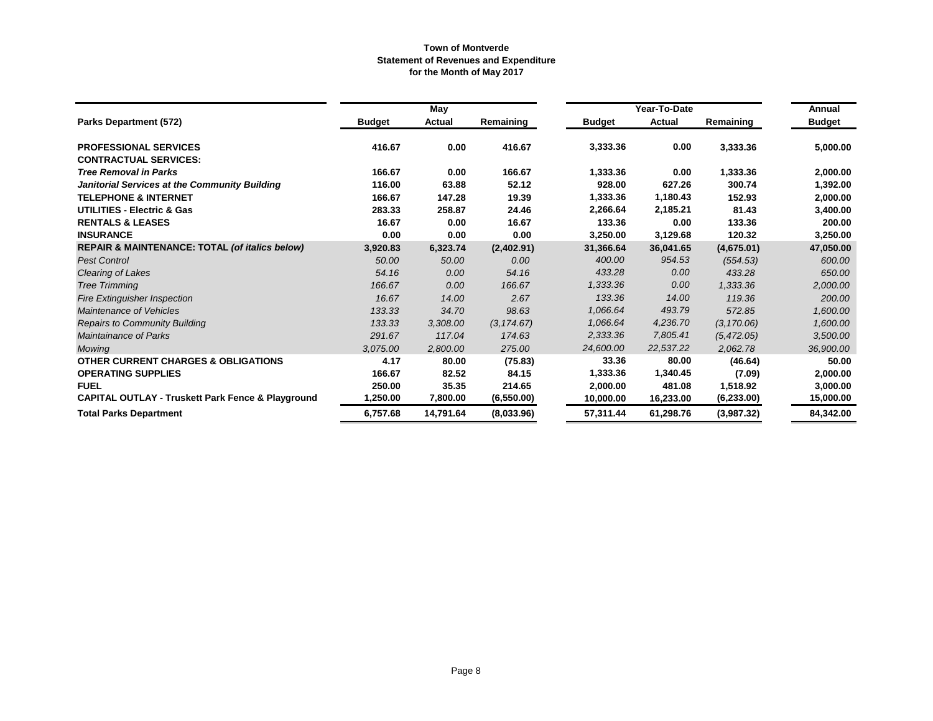|                                                              |               | May       |             |               | Year-To-Date  |             | Annual        |
|--------------------------------------------------------------|---------------|-----------|-------------|---------------|---------------|-------------|---------------|
| Parks Department (572)                                       | <b>Budget</b> | Actual    | Remaining   | <b>Budget</b> | <b>Actual</b> | Remaining   | <b>Budget</b> |
| <b>PROFESSIONAL SERVICES</b>                                 | 416.67        | 0.00      | 416.67      | 3,333.36      | 0.00          | 3,333.36    | 5,000.00      |
| <b>CONTRACTUAL SERVICES:</b>                                 |               |           |             |               |               |             |               |
| <b>Tree Removal in Parks</b>                                 | 166.67        | 0.00      | 166.67      | 1,333.36      | 0.00          | 1,333.36    | 2,000.00      |
| Janitorial Services at the Community Building                | 116.00        | 63.88     | 52.12       | 928.00        | 627.26        | 300.74      | 1,392.00      |
| <b>TELEPHONE &amp; INTERNET</b>                              | 166.67        | 147.28    | 19.39       | 1,333.36      | 1,180.43      | 152.93      | 2,000.00      |
| <b>UTILITIES - Electric &amp; Gas</b>                        | 283.33        | 258.87    | 24.46       | 2,266.64      | 2,185.21      | 81.43       | 3,400.00      |
| <b>RENTALS &amp; LEASES</b>                                  | 16.67         | 0.00      | 16.67       | 133.36        | 0.00          | 133.36      | 200.00        |
| <b>INSURANCE</b>                                             | 0.00          | 0.00      | 0.00        | 3,250.00      | 3,129.68      | 120.32      | 3,250.00      |
| REPAIR & MAINTENANCE: TOTAL (of italics below)               | 3,920.83      | 6,323.74  | (2,402.91)  | 31,366.64     | 36,041.65     | (4,675.01)  | 47,050.00     |
| <b>Pest Control</b>                                          | 50.00         | 50.00     | 0.00        | 400.00        | 954.53        | (554.53)    | 600.00        |
| Clearing of Lakes                                            | 54.16         | 0.00      | 54.16       | 433.28        | 0.00          | 433.28      | 650.00        |
| <b>Tree Trimming</b>                                         | 166.67        | 0.00      | 166.67      | 1,333.36      | 0.00          | 1,333.36    | 2,000.00      |
| <b>Fire Extinguisher Inspection</b>                          | 16.67         | 14.00     | 2.67        | 133.36        | 14.00         | 119.36      | 200.00        |
| Maintenance of Vehicles                                      | 133.33        | 34.70     | 98.63       | 1,066.64      | 493.79        | 572.85      | 1,600.00      |
| <b>Repairs to Community Building</b>                         | 133.33        | 3,308.00  | (3, 174.67) | 1,066.64      | 4,236.70      | (3, 170.06) | 1,600.00      |
| <b>Maintainance of Parks</b>                                 | 291.67        | 117.04    | 174.63      | 2,333.36      | 7,805.41      | (5, 472.05) | 3,500.00      |
| <b>Mowing</b>                                                | 3,075.00      | 2,800.00  | 275.00      | 24,600.00     | 22,537.22     | 2,062.78    | 36,900.00     |
| <b>OTHER CURRENT CHARGES &amp; OBLIGATIONS</b>               | 4.17          | 80.00     | (75.83)     | 33.36         | 80.00         | (46.64)     | 50.00         |
| <b>OPERATING SUPPLIES</b>                                    | 166.67        | 82.52     | 84.15       | 1,333.36      | 1,340.45      | (7.09)      | 2,000.00      |
| <b>FUEL</b>                                                  | 250.00        | 35.35     | 214.65      | 2,000.00      | 481.08        | 1,518.92    | 3,000.00      |
| <b>CAPITAL OUTLAY - Truskett Park Fence &amp; Playground</b> | 1,250.00      | 7,800.00  | (6,550.00)  | 10,000.00     | 16,233.00     | (6, 233.00) | 15,000.00     |
| <b>Total Parks Department</b>                                | 6,757.68      | 14,791.64 | (8,033.96)  | 57,311.44     | 61,298.76     | (3,987.32)  | 84,342.00     |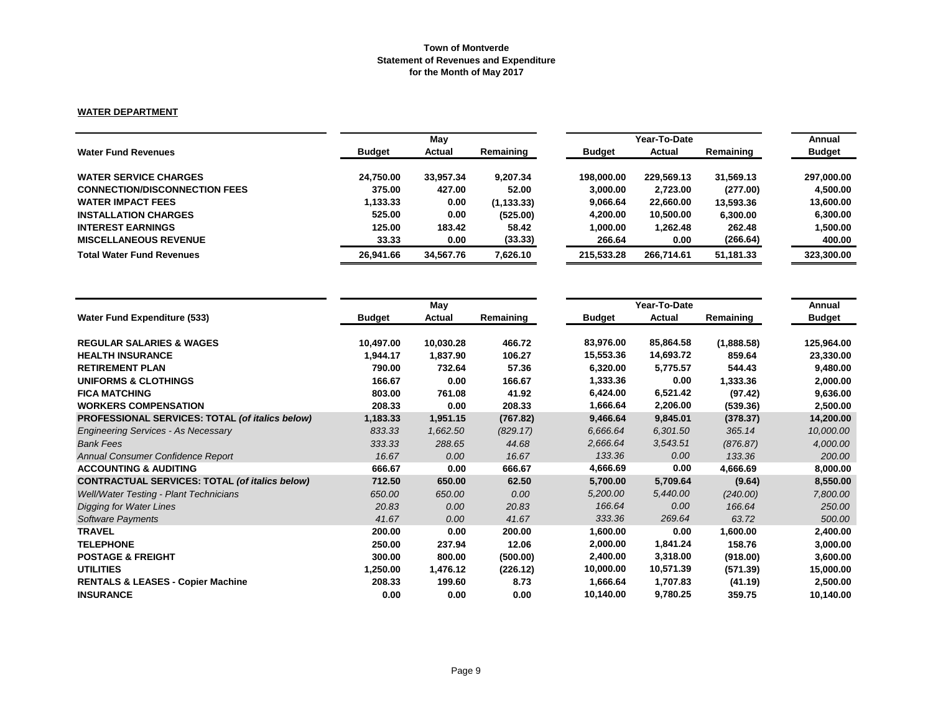# **WATER DEPARTMENT**

|                                      | Mav           |           |             |               | Annual     |           |               |
|--------------------------------------|---------------|-----------|-------------|---------------|------------|-----------|---------------|
| <b>Water Fund Revenues</b>           | <b>Budget</b> | Actual    | Remaining   | <b>Budget</b> | Actual     | Remaining | <b>Budget</b> |
| <b>WATER SERVICE CHARGES</b>         | 24,750.00     | 33.957.34 | 9.207.34    | 198.000.00    | 229,569.13 | 31.569.13 | 297,000.00    |
| <b>CONNECTION/DISCONNECTION FEES</b> | 375.00        | 427.00    | 52.00       | 3.000.00      | 2,723.00   | (277.00)  | 4.500.00      |
| <b>WATER IMPACT FEES</b>             | 1,133.33      | 0.00      | (1, 133.33) | 9,066.64      | 22,660.00  | 13,593.36 | 13,600.00     |
| <b>INSTALLATION CHARGES</b>          | 525.00        | 0.00      | (525.00)    | 4,200.00      | 10,500.00  | 6,300.00  | 6.300.00      |
| <b>INTEREST EARNINGS</b>             | 125.00        | 183.42    | 58.42       | 1,000.00      | 1,262.48   | 262.48    | 1,500.00      |
| <b>MISCELLANEOUS REVENUE</b>         | 33.33         | 0.00      | (33.33)     | 266.64        | 0.00       | (266.64)  | 400.00        |
| <b>Total Water Fund Revenues</b>     | 26,941.66     | 34,567.76 | 7,626.10    | 215.533.28    | 266.714.61 | 51,181.33 | 323,300.00    |

|                                                       |               | May       |           |               | Year-To-Date |            | Annual        |
|-------------------------------------------------------|---------------|-----------|-----------|---------------|--------------|------------|---------------|
| <b>Water Fund Expenditure (533)</b>                   | <b>Budget</b> | Actual    | Remaining | <b>Budget</b> | Actual       | Remaining  | <b>Budget</b> |
| <b>REGULAR SALARIES &amp; WAGES</b>                   | 10,497.00     | 10,030.28 | 466.72    | 83,976.00     | 85,864.58    | (1,888.58) | 125,964.00    |
| <b>HEALTH INSURANCE</b>                               | 1,944.17      | 1,837.90  | 106.27    | 15,553.36     | 14,693.72    | 859.64     | 23,330.00     |
| <b>RETIREMENT PLAN</b>                                | 790.00        | 732.64    | 57.36     | 6,320.00      | 5,775.57     | 544.43     | 9,480.00      |
| <b>UNIFORMS &amp; CLOTHINGS</b>                       | 166.67        | 0.00      | 166.67    | 1,333.36      | 0.00         | 1,333.36   | 2,000.00      |
| <b>FICA MATCHING</b>                                  | 803.00        | 761.08    | 41.92     | 6,424.00      | 6,521.42     | (97.42)    | 9,636.00      |
| <b>WORKERS COMPENSATION</b>                           | 208.33        | 0.00      | 208.33    | 1,666.64      | 2,206.00     | (539.36)   | 2,500.00      |
| PROFESSIONAL SERVICES: TOTAL (of italics below)       | 1,183.33      | 1,951.15  | (767.82)  | 9,466.64      | 9,845.01     | (378.37)   | 14,200.00     |
| <b>Engineering Services - As Necessary</b>            | 833.33        | 1,662.50  | (829.17)  | 6,666.64      | 6,301.50     | 365.14     | 10,000.00     |
| <b>Bank Fees</b>                                      | 333.33        | 288.65    | 44.68     | 2,666.64      | 3,543.51     | (876.87)   | 4,000.00      |
| Annual Consumer Confidence Report                     | 16.67         | 0.00      | 16.67     | 133.36        | 0.00         | 133.36     | 200.00        |
| <b>ACCOUNTING &amp; AUDITING</b>                      | 666.67        | 0.00      | 666.67    | 4,666.69      | 0.00         | 4,666.69   | 8,000.00      |
| <b>CONTRACTUAL SERVICES: TOTAL (of italics below)</b> | 712.50        | 650.00    | 62.50     | 5,700.00      | 5,709.64     | (9.64)     | 8,550.00      |
| Well/Water Testing - Plant Technicians                | 650.00        | 650.00    | 0.00      | 5,200.00      | 5,440.00     | (240.00)   | 7,800.00      |
| <b>Digging for Water Lines</b>                        | 20.83         | 0.00      | 20.83     | 166.64        | 0.00         | 166.64     | 250.00        |
| <b>Software Payments</b>                              | 41.67         | 0.00      | 41.67     | 333.36        | 269.64       | 63.72      | 500.00        |
| <b>TRAVEL</b>                                         | 200.00        | 0.00      | 200.00    | 1,600.00      | 0.00         | 1,600.00   | 2,400.00      |
| <b>TELEPHONE</b>                                      | 250.00        | 237.94    | 12.06     | 2,000.00      | 1,841.24     | 158.76     | 3,000.00      |
| <b>POSTAGE &amp; FREIGHT</b>                          | 300.00        | 800.00    | (500.00)  | 2,400.00      | 3,318.00     | (918.00)   | 3,600.00      |
| <b>UTILITIES</b>                                      | 1,250.00      | 1,476.12  | (226.12)  | 10,000.00     | 10,571.39    | (571.39)   | 15,000.00     |
| <b>RENTALS &amp; LEASES - Copier Machine</b>          | 208.33        | 199.60    | 8.73      | 1,666.64      | 1,707.83     | (41.19)    | 2,500.00      |
| <b>INSURANCE</b>                                      | 0.00          | 0.00      | 0.00      | 10,140.00     | 9,780.25     | 359.75     | 10,140.00     |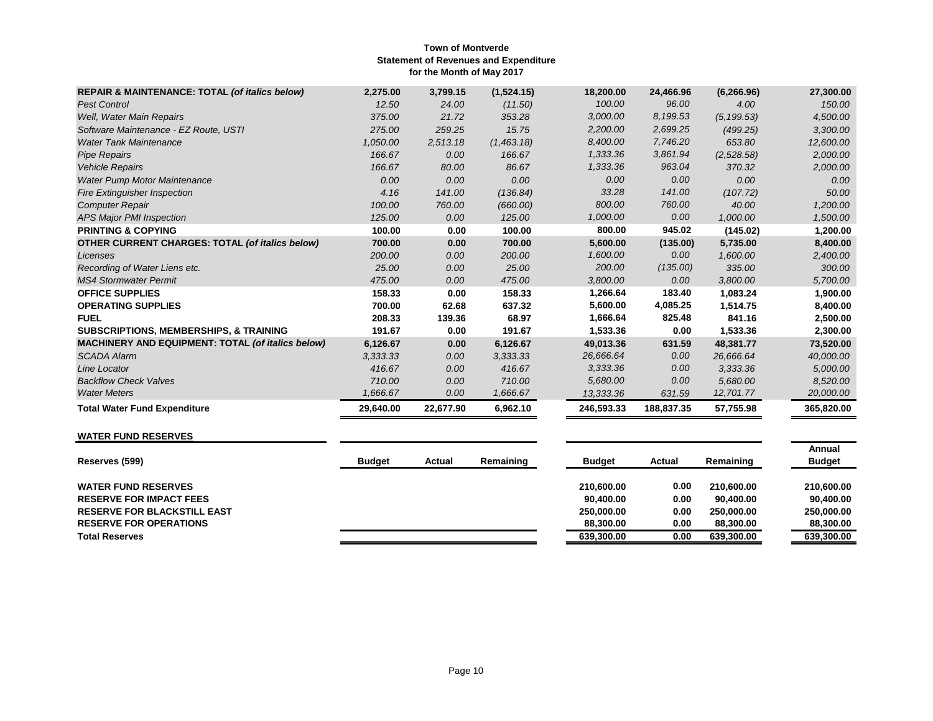| <b>REPAIR &amp; MAINTENANCE: TOTAL (of italics below)</b> | 2,275.00  | 3,799.15  | (1,524.15) | 18,200.00  | 24,466.96  | (6, 266.96) | 27,300.00  |
|-----------------------------------------------------------|-----------|-----------|------------|------------|------------|-------------|------------|
| <b>Pest Control</b>                                       | 12.50     | 24.00     | (11.50)    | 100.00     | 96.00      | 4.00        | 150.00     |
| Well, Water Main Repairs                                  | 375.00    | 21.72     | 353.28     | 3,000.00   | 8,199.53   | (5, 199.53) | 4,500.00   |
| Software Maintenance - EZ Route, USTI                     | 275.00    | 259.25    | 15.75      | 2,200.00   | 2,699.25   | (499.25)    | 3,300.00   |
| <b>Water Tank Maintenance</b>                             | 1,050.00  | 2,513.18  | (1,463.18) | 8,400.00   | 7,746.20   | 653.80      | 12,600.00  |
| <b>Pipe Repairs</b>                                       | 166.67    | 0.00      | 166.67     | 1,333.36   | 3,861.94   | (2,528.58)  | 2,000.00   |
| <b>Vehicle Repairs</b>                                    | 166.67    | 80.00     | 86.67      | 1,333.36   | 963.04     | 370.32      | 2,000.00   |
| <b>Water Pump Motor Maintenance</b>                       | 0.00      | 0.00      | 0.00       | 0.00       | 0.00       | 0.00        | 0.00       |
| <b>Fire Extinguisher Inspection</b>                       | 4.16      | 141.00    | (136.84)   | 33.28      | 141.00     | (107.72)    | 50.00      |
| <b>Computer Repair</b>                                    | 100.00    | 760.00    | (660.00)   | 800.00     | 760.00     | 40.00       | 1,200.00   |
| <b>APS Major PMI Inspection</b>                           | 125.00    | 0.00      | 125.00     | 1,000.00   | 0.00       | 1,000.00    | 1,500.00   |
| <b>PRINTING &amp; COPYING</b>                             | 100.00    | 0.00      | 100.00     | 800.00     | 945.02     | (145.02)    | 1,200.00   |
| OTHER CURRENT CHARGES: TOTAL (of italics below)           | 700.00    | 0.00      | 700.00     | 5,600.00   | (135.00)   | 5,735.00    | 8,400.00   |
| Licenses                                                  | 200.00    | 0.00      | 200.00     | 1,600.00   | 0.00       | 1,600.00    | 2,400.00   |
| Recording of Water Liens etc.                             | 25.00     | 0.00      | 25.00      | 200.00     | (135.00)   | 335.00      | 300.00     |
| <b>MS4 Stormwater Permit</b>                              | 475.00    | 0.00      | 475.00     | 3,800.00   | 0.00       | 3,800.00    | 5,700.00   |
| <b>OFFICE SUPPLIES</b>                                    | 158.33    | 0.00      | 158.33     | 1,266.64   | 183.40     | 1,083.24    | 1,900.00   |
| <b>OPERATING SUPPLIES</b>                                 | 700.00    | 62.68     | 637.32     | 5,600.00   | 4,085.25   | 1,514.75    | 8,400.00   |
| <b>FUEL</b>                                               | 208.33    | 139.36    | 68.97      | 1,666.64   | 825.48     | 841.16      | 2,500.00   |
| <b>SUBSCRIPTIONS, MEMBERSHIPS, &amp; TRAINING</b>         | 191.67    | 0.00      | 191.67     | 1,533.36   | 0.00       | 1,533.36    | 2,300.00   |
| <b>MACHINERY AND EQUIPMENT: TOTAL (of italics below)</b>  | 6,126.67  | 0.00      | 6,126.67   | 49,013.36  | 631.59     | 48,381.77   | 73,520.00  |
| <b>SCADA Alarm</b>                                        | 3,333.33  | 0.00      | 3,333.33   | 26,666.64  | 0.00       | 26,666.64   | 40,000.00  |
| Line Locator                                              | 416.67    | 0.00      | 416.67     | 3.333.36   | 0.00       | 3,333.36    | 5,000.00   |
| <b>Backflow Check Valves</b>                              | 710.00    | 0.00      | 710.00     | 5,680.00   | 0.00       | 5,680.00    | 8,520.00   |
| <b>Water Meters</b>                                       | 1,666.67  | 0.00      | 1,666.67   | 13,333.36  | 631.59     | 12,701.77   | 20,000.00  |
| <b>Total Water Fund Expenditure</b>                       | 29,640.00 | 22,677.90 | 6,962.10   | 246,593.33 | 188,837.35 | 57,755.98   | 365,820.00 |

# **WATER FUND RESERVES**

| Reserves (599)                     | <b>Budget</b> | Actual | Remaining | <b>Budget</b> | Actual | Remaining  | Annual<br><b>Budget</b> |
|------------------------------------|---------------|--------|-----------|---------------|--------|------------|-------------------------|
| <b>WATER FUND RESERVES</b>         |               |        |           | 210.600.00    | 0.00   | 210.600.00 | 210,600,00              |
| <b>RESERVE FOR IMPACT FEES</b>     |               |        |           | 90.400.00     | 0.00   | 90.400.00  | 90.400.00               |
| <b>RESERVE FOR BLACKSTILL EAST</b> |               |        |           | 250,000,00    | 0.00   | 250.000.00 | 250,000,00              |
| <b>RESERVE FOR OPERATIONS</b>      |               |        |           | 88.300.00     | 0.00   | 88,300,00  | 88,300,00               |
| <b>Total Reserves</b>              |               |        |           | 639.300.00    | 0.00   | 639,300.00 | 639.300.00              |
|                                    |               |        |           |               |        |            |                         |